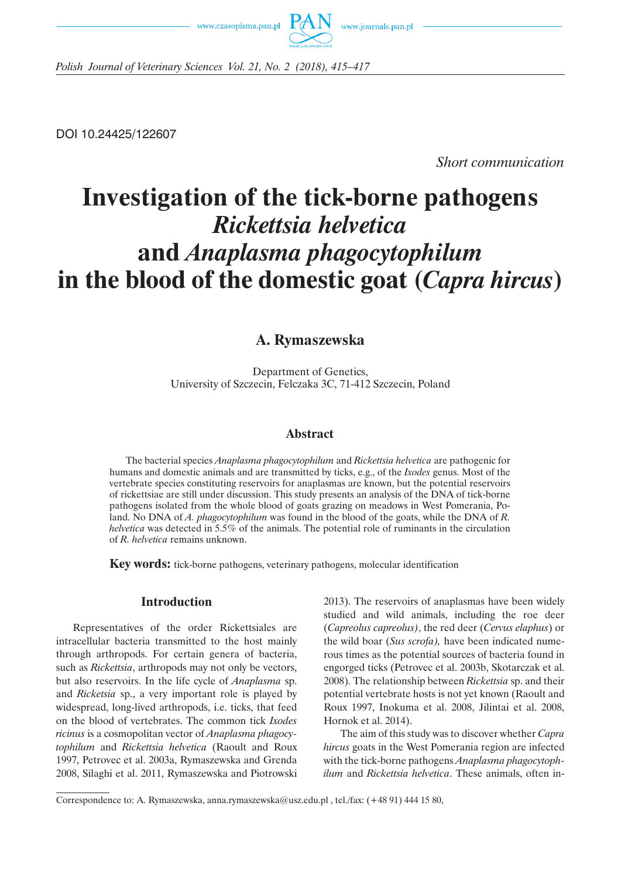



*Polish Journal of Veterinary Sciences Vol. 21, No. 2 (2018), 415–417*

DOI 10.24425/122607

*Short communication*

# **Investigation of the tick-borne pathogens**  *Rickettsia helvetica* **and** *Anaplasma phagocytophilum* **in the blood of the domestic goat (***Capra hircus***)**

## **A. Rymaszewska**

Department of Genetics, University of Szczecin, Felczaka 3C, 71-412 Szczecin, Poland

### **Abstract**

The bacterial species *Anaplasma phagocytophilum* and *Rickettsia helvetica* are pathogenic for humans and domestic animals and are transmitted by ticks, e.g., of the *Ixodes* genus. Most of the vertebrate species constituting reservoirs for anaplasmas are known, but the potential reservoirs of rickettsiae are still under discussion. This study presents an analysis of the DNA of tick-borne pathogens isolated from the whole blood of goats grazing on meadows in West Pomerania, Poland. No DNA of *A. phagocytophilum* was found in the blood of the goats, while the DNA of *R. helvetica* was detected in 5.5% of the animals. The potential role of ruminants in the circulation of *R. helvetica* remains unknown.

**Key words:** tick-borne pathogens, veterinary pathogens, molecular identification

### **Introduction**

Representatives of the order Rickettsiales are intracellular bacteria transmitted to the host mainly through arthropods. For certain genera of bacteria, such as *Rickettsia*, arthropods may not only be vectors, but also reservoirs. In the life cycle of *Anaplasma* sp. and *Ricketsia* sp., a very important role is played by widespread, long-lived arthropods, i.e. ticks, that feed on the blood of vertebrates. The common tick *Ixodes ricinus* is a cosmopolitan vector of *Anaplasma phagocytophilum* and *Rickettsia helvetica* (Raoult and Roux 1997, Petrovec et al. 2003a, Rymaszewska and Grenda 2008, Silaghi et al. 2011, Rymaszewska and Piotrowski 2013). The reservoirs of anaplasmas have been widely studied and wild animals, including the roe deer (*Capreolus capreolus)*, the red deer (*Cervus elaphus*) or the wild boar (*Sus scrofa),* have been indicated numerous times as the potential sources of bacteria found in engorged ticks (Petrovec et al. 2003b, Skotarczak et al. 2008). The relationship between *Rickettsia* sp. and their potential vertebrate hosts is not yet known (Raoult and Roux 1997, Inokuma et al. 2008, Jilintai et al. 2008, Hornok et al. 2014).

The aim of this study was to discover whether *Capra hircus* goats in the West Pomerania region are infected with the tick-borne pathogens *Anaplasma phagocytophilum* and *Rickettsia helvetica*. These animals, often in-

Correspondence to: A. Rymaszewska, anna.rymaszewska@usz.edu.pl , tel./fax: (+48 91) 444 15 80,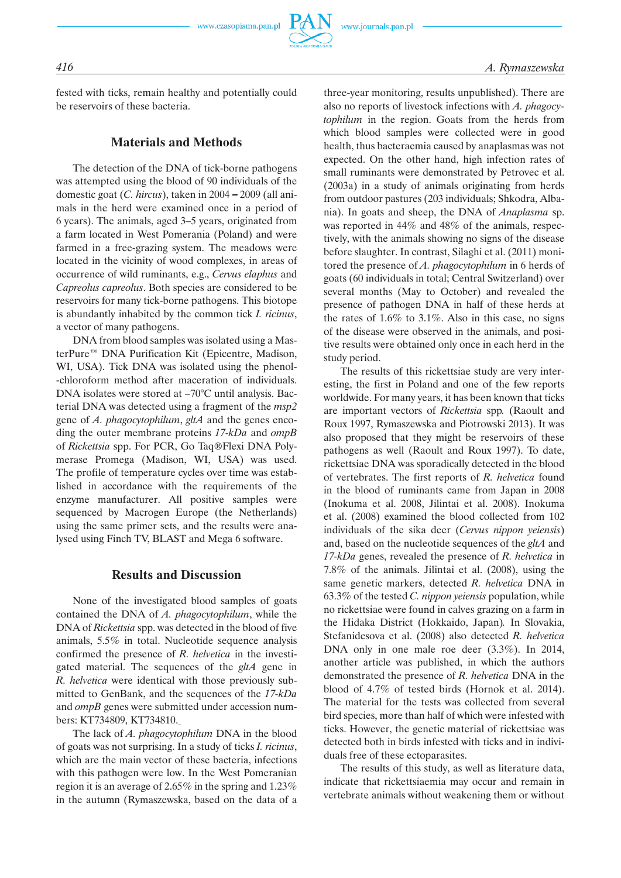## *416 A. Rymaszewska*

fested with ticks, remain healthy and potentially could be reservoirs of these bacteria.

## **Materials and Methods**

The detection of the DNA of tick-borne pathogens was attempted using the blood of 90 individuals of the domestic goat (*C. hircus*), taken in 2004 – 2009 (all animals in the herd were examined once in a period of 6 years). The animals, aged 3–5 years, originated from a farm located in West Pomerania (Poland) and were farmed in a free-grazing system. The meadows were located in the vicinity of wood complexes, in areas of occurrence of wild ruminants, e.g., *Cervus elaphus* and *Capreolus capreolus*. Both species are considered to be reservoirs for many tick-borne pathogens. This biotope is abundantly inhabited by the common tick *I. ricinus*, a vector of many pathogens.

DNA from blood samples was isolated using a MasterPure™ DNA Purification Kit (Epicentre, Madison, WI, USA). Tick DNA was isolated using the phenol- -chloroform method after maceration of individuals. DNA isolates were stored at –70°C until analysis. Bacterial DNA was detected using a fragment of the *msp2* gene of *A. phagocytophilum*, *gltA* and the genes encoding the outer membrane proteins *17-kDa* and *ompB* of *Rickettsia* spp. For PCR, Go Taq®Flexi DNA Polymerase Promega (Madison, WI, USA) was used. The profile of temperature cycles over time was established in accordance with the requirements of the enzyme manufacturer. All positive samples were sequenced by Macrogen Europe (the Netherlands) using the same primer sets, and the results were analysed using Finch TV, BLAST and Mega 6 software.

### **Results and Discussion**

None of the investigated blood samples of goats contained the DNA of *A. phagocytophilum*, while the DNA of *Rickettsia* spp. was detected in the blood of five animals, 5.5% in total. Nucleotide sequence analysis confirmed the presence of *R. helvetica* in the investigated material. The sequences of the *gltA* gene in *R. helvetica* were identical with those previously submitted to GenBank, and the sequences of the *17-kDa* and *ompB* genes were submitted under accession numbers: KT734809, KT734810.

The lack of *A. phagocytophilum* DNA in the blood of goats was not surprising. In a study of ticks *I. ricinus*, which are the main vector of these bacteria, infections with this pathogen were low. In the West Pomeranian region it is an average of 2.65% in the spring and 1.23% in the autumn (Rymaszewska, based on the data of a three-year monitoring, results unpublished). There are also no reports of livestock infections with *A. phagocytophilum* in the region. Goats from the herds from which blood samples were collected were in good health, thus bacteraemia caused by anaplasmas was not expected. On the other hand, high infection rates of small ruminants were demonstrated by Petrovec et al. (2003a) in a study of animals originating from herds from outdoor pastures (203 individuals; Shkodra, Albania). In goats and sheep, the DNA of *Anaplasma* sp. was reported in 44% and 48% of the animals, respectively, with the animals showing no signs of the disease before slaughter. In contrast, Silaghi et al. (2011) monitored the presence of *A. phagocytophilum* in 6 herds of goats (60 individuals in total; Central Switzerland) over several months (May to October) and revealed the presence of pathogen DNA in half of these herds at the rates of 1.6% to 3.1%. Also in this case, no signs of the disease were observed in the animals, and positive results were obtained only once in each herd in the study period.

The results of this rickettsiae study are very interesting, the first in Poland and one of the few reports worldwide. For many years, it has been known that ticks are important vectors of *Rickettsia* spp*.* (Raoult and Roux 1997, Rymaszewska and Piotrowski 2013). It was also proposed that they might be reservoirs of these pathogens as well (Raoult and Roux 1997). To date, rickettsiae DNA was sporadically detected in the blood of vertebrates. The first reports of *R. helvetica* found in the blood of ruminants came from Japan in 2008 (Inokuma et al. 2008, Jilintai et al. 2008). Inokuma et al. (2008) examined the blood collected from 102 individuals of the sika deer (*Cervus nippon yeiensis*) and, based on the nucleotide sequences of the *gltA* and *17-kDa* genes, revealed the presence of *R. helvetica* in 7.8% of the animals. Jilintai et al. (2008), using the same genetic markers, detected *R. helvetica* DNA in 63.3% of the tested *C. nippon yeiensis* population, while no rickettsiae were found in calves grazing on a farm in the Hidaka District (Hokkaido, Japan)*.* In Slovakia, Stefanidesova et al. (2008) also detected *R. helvetica*  DNA only in one male roe deer (3.3%). In 2014, another article was published, in which the authors demonstrated the presence of *R. helvetica* DNA in the blood of 4.7% of tested birds (Hornok et al. 2014). The material for the tests was collected from several bird species, more than half of which were infested with ticks. However, the genetic material of rickettsiae was detected both in birds infested with ticks and in individuals free of these ectoparasites.

The results of this study, as well as literature data, indicate that rickettsiaemia may occur and remain in vertebrate animals without weakening them or without